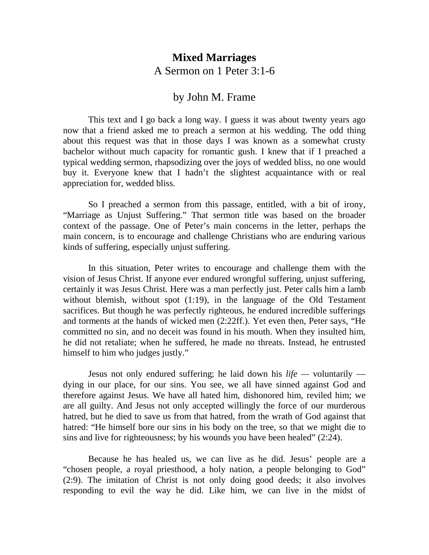## **Mixed Marriages** A Sermon on 1 Peter 3:1-6

## by John M. Frame

This text and I go back a long way. I guess it was about twenty years ago now that a friend asked me to preach a sermon at his wedding. The odd thing about this request was that in those days I was known as a somewhat crusty bachelor without much capacity for romantic gush. I knew that if I preached a typical wedding sermon, rhapsodizing over the joys of wedded bliss, no one would buy it. Everyone knew that I hadn't the slightest acquaintance with or real appreciation for, wedded bliss.

So I preached a sermon from this passage, entitled, with a bit of irony, "Marriage as Unjust Suffering." That sermon title was based on the broader context of the passage. One of Peter's main concerns in the letter, perhaps the main concern, is to encourage and challenge Christians who are enduring various kinds of suffering, especially unjust suffering.

In this situation, Peter writes to encourage and challenge them with the vision of Jesus Christ. If anyone ever endured wrongful suffering, unjust suffering, certainly it was Jesus Christ. Here was a man perfectly just. Peter calls him a lamb without blemish, without spot (1:19), in the language of the Old Testament sacrifices. But though he was perfectly righteous, he endured incredible sufferings and torments at the hands of wicked men (2:22ff.). Yet even then, Peter says, "He committed no sin, and no deceit was found in his mouth. When they insulted him, he did not retaliate; when he suffered, he made no threats. Instead, he entrusted himself to him who judges justly."

Jesus not only endured suffering; he laid down his *life —* voluntarily dying in our place, for our sins. You see, we all have sinned against God and therefore against Jesus. We have all hated him, dishonored him, reviled him; we are all guilty. And Jesus not only accepted willingly the force of our murderous hatred, but he died to save us from that hatred, from the wrath of God against that hatred: "He himself bore our sins in his body on the tree, so that we might die to sins and live for righteousness; by his wounds you have been healed" (2:24).

Because he has healed us, we can live as he did. Jesus' people are a "chosen people, a royal priesthood, a holy nation, a people belonging to God" (2:9). The imitation of Christ is not only doing good deeds; it also involves responding to evil the way he did. Like him, we can live in the midst of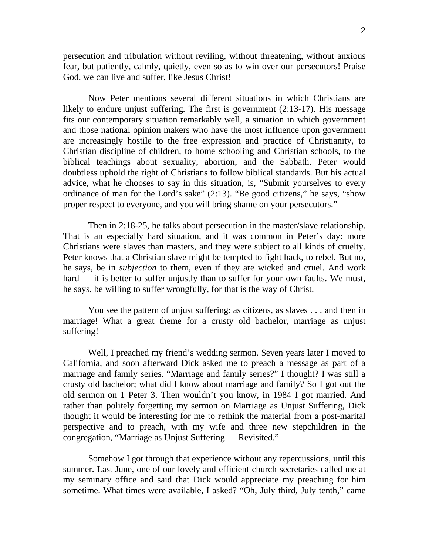persecution and tribulation without reviling, without threatening, without anxious fear, but patiently, calmly, quietly, even so as to win over our persecutors! Praise God, we can live and suffer, like Jesus Christ!

Now Peter mentions several different situations in which Christians are likely to endure unjust suffering. The first is government (2:13-17). His message fits our contemporary situation remarkably well, a situation in which government and those national opinion makers who have the most influence upon government are increasingly hostile to the free expression and practice of Christianity, to Christian discipline of children, to home schooling and Christian schools, to the biblical teachings about sexuality, abortion, and the Sabbath. Peter would doubtless uphold the right of Christians to follow biblical standards. But his actual advice, what he chooses to say in this situation, is, "Submit yourselves to every ordinance of man for the Lord's sake" (2:13). "Be good citizens," he says, "show proper respect to everyone, and you will bring shame on your persecutors."

Then in 2:18-25, he talks about persecution in the master/slave relationship. That is an especially hard situation, and it was common in Peter's day: more Christians were slaves than masters, and they were subject to all kinds of cruelty. Peter knows that a Christian slave might be tempted to fight back, to rebel. But no, he says, be in *subjection* to them, even if they are wicked and cruel. And work hard — it is better to suffer unjustly than to suffer for your own faults. We must, he says, be willing to suffer wrongfully, for that is the way of Christ.

You see the pattern of unjust suffering: as citizens, as slaves . . . and then in marriage! What a great theme for a crusty old bachelor, marriage as unjust suffering!

Well, I preached my friend's wedding sermon. Seven years later I moved to California, and soon afterward Dick asked me to preach a message as part of a marriage and family series. "Marriage and family series?" I thought? I was still a crusty old bachelor; what did I know about marriage and family? So I got out the old sermon on 1 Peter 3. Then wouldn't you know, in 1984 I got married. And rather than politely forgetting my sermon on Marriage as Unjust Suffering, Dick thought it would be interesting for me to rethink the material from a post-marital perspective and to preach, with my wife and three new stepchildren in the congregation, "Marriage as Unjust Suffering — Revisited."

Somehow I got through that experience without any repercussions, until this summer. Last June, one of our lovely and efficient church secretaries called me at my seminary office and said that Dick would appreciate my preaching for him sometime. What times were available, I asked? "Oh, July third, July tenth," came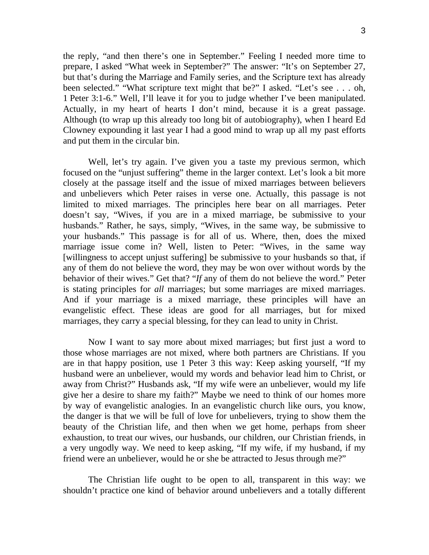the reply, "and then there's one in September." Feeling I needed more time to prepare, I asked "What week in September?" The answer: "It's on September 27, but that's during the Marriage and Family series, and the Scripture text has already been selected." "What scripture text might that be?" I asked. "Let's see . . . oh, 1 Peter 3:1-6." Well, I'll leave it for you to judge whether I've been manipulated. Actually, in my heart of hearts I don't mind, because it is a great passage. Although (to wrap up this already too long bit of autobiography), when I heard Ed Clowney expounding it last year I had a good mind to wrap up all my past efforts and put them in the circular bin.

Well, let's try again. I've given you a taste my previous sermon, which focused on the "unjust suffering" theme in the larger context. Let's look a bit more closely at the passage itself and the issue of mixed marriages between believers and unbelievers which Peter raises in verse one. Actually, this passage is not limited to mixed marriages. The principles here bear on all marriages. Peter doesn't say, "Wives, if you are in a mixed marriage, be submissive to your husbands." Rather, he says, simply, "Wives, in the same way, be submissive to your husbands." This passage is for all of us. Where, then, does the mixed marriage issue come in? Well, listen to Peter: "Wives, in the same way [willingness to accept unjust suffering] be submissive to your husbands so that, if any of them do not believe the word, they may be won over without words by the behavior of their wives." Get that? "*If* any of them do not believe the word." Peter is stating principles for *all* marriages; but some marriages are mixed marriages. And if your marriage is a mixed marriage, these principles will have an evangelistic effect. These ideas are good for all marriages, but for mixed marriages, they carry a special blessing, for they can lead to unity in Christ.

Now I want to say more about mixed marriages; but first just a word to those whose marriages are not mixed, where both partners are Christians. If you are in that happy position, use 1 Peter 3 this way: Keep asking yourself, "If my husband were an unbeliever, would my words and behavior lead him to Christ, or away from Christ?" Husbands ask, "If my wife were an unbeliever, would my life give her a desire to share my faith?" Maybe we need to think of our homes more by way of evangelistic analogies. In an evangelistic church like ours, you know, the danger is that we will be full of love for unbelievers, trying to show them the beauty of the Christian life, and then when we get home, perhaps from sheer exhaustion, to treat our wives, our husbands, our children, our Christian friends, in a very ungodly way. We need to keep asking, "If my wife, if my husband, if my friend were an unbeliever, would he or she be attracted to Jesus through me?"

The Christian life ought to be open to all, transparent in this way: we shouldn't practice one kind of behavior around unbelievers and a totally different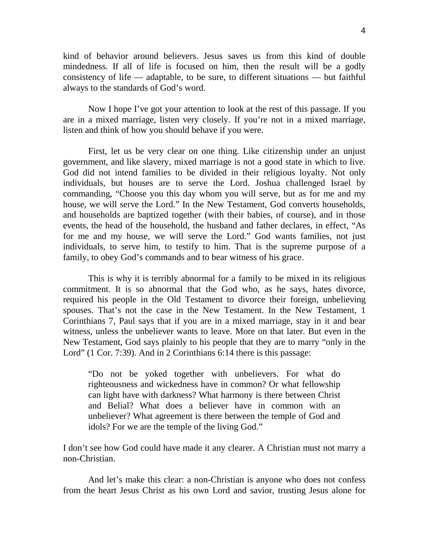kind of behavior around believers. Jesus saves us from this kind of double mindedness. If all of life is focused on him, then the result will be a godly consistency of life — adaptable, to be sure, to different situations — but faithful always to the standards of God's word.

Now I hope I've got your attention to look at the rest of this passage. If you are in a mixed marriage, listen very closely. If you're not in a mixed marriage, listen and think of how you should behave if you were.

First, let us be very clear on one thing. Like citizenship under an unjust government, and like slavery, mixed marriage is not a good state in which to live. God did not intend families to be divided in their religious loyalty. Not only individuals, but houses are to serve the Lord. Joshua challenged Israel by commanding, "Choose you this day whom you will serve, but as for me and my house, we will serve the Lord." In the New Testament, God converts households, and households are baptized together (with their babies, of course), and in those events, the head of the household, the husband and father declares, in effect, "As for me and my house, we will serve the Lord." God wants families, not just individuals, to serve him, to testify to him. That is the supreme purpose of a family, to obey God's commands and to bear witness of his grace.

This is why it is terribly abnormal for a family to be mixed in its religious commitment. It is so abnormal that the God who, as he says, hates divorce, required his people in the Old Testament to divorce their foreign, unbelieving spouses. That's not the case in the New Testament. In the New Testament, 1 Corinthians 7, Paul says that if you are in a mixed marriage, stay in it and bear witness, unless the unbeliever wants to leave. More on that later. But even in the New Testament, God says plainly to his people that they are to marry "only in the Lord" (1 Cor. 7:39). And in 2 Corinthians 6:14 there is this passage:

"Do not be yoked together with unbelievers. For what do righteousness and wickedness have in common? Or what fellowship can light have with darkness? What harmony is there between Christ and Belial? What does a believer have in common with an unbeliever? What agreement is there between the temple of God and idols? For we are the temple of the living God."

I don't see how God could have made it any clearer. A Christian must not marry a non-Christian.

And let's make this clear: a non-Christian is anyone who does not confess from the heart Jesus Christ as his own Lord and savior, trusting Jesus alone for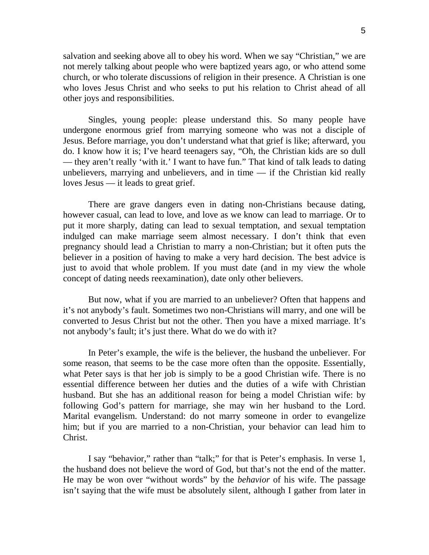salvation and seeking above all to obey his word. When we say "Christian," we are not merely talking about people who were baptized years ago, or who attend some church, or who tolerate discussions of religion in their presence. A Christian is one who loves Jesus Christ and who seeks to put his relation to Christ ahead of all other joys and responsibilities.

Singles, young people: please understand this. So many people have undergone enormous grief from marrying someone who was not a disciple of Jesus. Before marriage, you don't understand what that grief is like; afterward, you do. I know how it is; I've heard teenagers say, "Oh, the Christian kids are so dull — they aren't really 'with it.' I want to have fun." That kind of talk leads to dating unbelievers, marrying and unbelievers, and in time — if the Christian kid really loves Jesus — it leads to great grief.

There are grave dangers even in dating non-Christians because dating, however casual, can lead to love, and love as we know can lead to marriage. Or to put it more sharply, dating can lead to sexual temptation, and sexual temptation indulged can make marriage seem almost necessary. I don't think that even pregnancy should lead a Christian to marry a non-Christian; but it often puts the believer in a position of having to make a very hard decision. The best advice is just to avoid that whole problem. If you must date (and in my view the whole concept of dating needs reexamination), date only other believers.

But now, what if you are married to an unbeliever? Often that happens and it's not anybody's fault. Sometimes two non-Christians will marry, and one will be converted to Jesus Christ but not the other. Then you have a mixed marriage. It's not anybody's fault; it's just there. What do we do with it?

In Peter's example, the wife is the believer, the husband the unbeliever. For some reason, that seems to be the case more often than the opposite. Essentially, what Peter says is that her job is simply to be a good Christian wife. There is no essential difference between her duties and the duties of a wife with Christian husband. But she has an additional reason for being a model Christian wife: by following God's pattern for marriage, she may win her husband to the Lord. Marital evangelism. Understand: do not marry someone in order to evangelize him; but if you are married to a non-Christian, your behavior can lead him to Christ.

I say "behavior," rather than "talk;" for that is Peter's emphasis. In verse 1, the husband does not believe the word of God, but that's not the end of the matter. He may be won over "without words" by the *behavior* of his wife. The passage isn't saying that the wife must be absolutely silent, although I gather from later in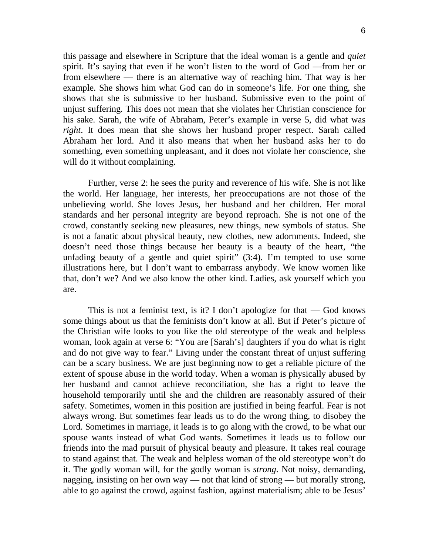this passage and elsewhere in Scripture that the ideal woman is a gentle and *quiet* spirit. It's saying that even if he won't listen to the word of God —from her or from elsewhere — there is an alternative way of reaching him. That way is her example. She shows him what God can do in someone's life. For one thing, she shows that she is submissive to her husband. Submissive even to the point of unjust suffering. This does not mean that she violates her Christian conscience for his sake. Sarah, the wife of Abraham, Peter's example in verse 5, did what was *right*. It does mean that she shows her husband proper respect. Sarah called Abraham her lord. And it also means that when her husband asks her to do something, even something unpleasant, and it does not violate her conscience, she will do it without complaining.

Further, verse 2: he sees the purity and reverence of his wife. She is not like the world. Her language, her interests, her preoccupations are not those of the unbelieving world. She loves Jesus, her husband and her children. Her moral standards and her personal integrity are beyond reproach. She is not one of the crowd, constantly seeking new pleasures, new things, new symbols of status. She is not a fanatic about physical beauty, new clothes, new adornments. Indeed, she doesn't need those things because her beauty is a beauty of the heart, "the unfading beauty of a gentle and quiet spirit"  $(3:4)$ . I'm tempted to use some illustrations here, but I don't want to embarrass anybody. We know women like that, don't we? And we also know the other kind. Ladies, ask yourself which you are.

This is not a feminist text, is it? I don't apologize for that — God knows some things about us that the feminists don't know at all. But if Peter's picture of the Christian wife looks to you like the old stereotype of the weak and helpless woman, look again at verse 6: "You are [Sarah's] daughters if you do what is right and do not give way to fear." Living under the constant threat of unjust suffering can be a scary business. We are just beginning now to get a reliable picture of the extent of spouse abuse in the world today. When a woman is physically abused by her husband and cannot achieve reconciliation, she has a right to leave the household temporarily until she and the children are reasonably assured of their safety. Sometimes, women in this position are justified in being fearful. Fear is not always wrong. But sometimes fear leads us to do the wrong thing, to disobey the Lord. Sometimes in marriage, it leads is to go along with the crowd, to be what our spouse wants instead of what God wants. Sometimes it leads us to follow our friends into the mad pursuit of physical beauty and pleasure. It takes real courage to stand against that. The weak and helpless woman of the old stereotype won't do it. The godly woman will, for the godly woman is *strong*. Not noisy, demanding, nagging, insisting on her own way — not that kind of strong — but morally strong, able to go against the crowd, against fashion, against materialism; able to be Jesus'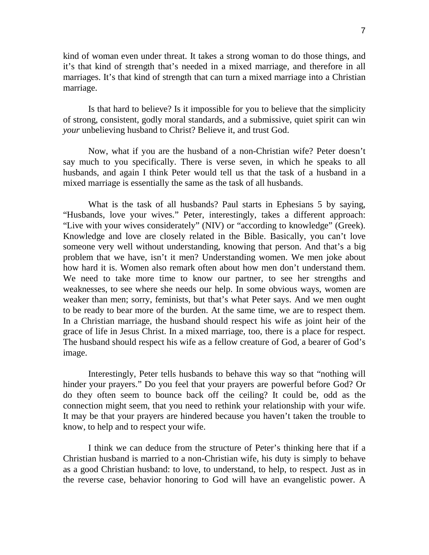kind of woman even under threat. It takes a strong woman to do those things, and it's that kind of strength that's needed in a mixed marriage, and therefore in all marriages. It's that kind of strength that can turn a mixed marriage into a Christian marriage.

Is that hard to believe? Is it impossible for you to believe that the simplicity of strong, consistent, godly moral standards, and a submissive, quiet spirit can win *your* unbelieving husband to Christ? Believe it, and trust God.

Now, what if you are the husband of a non-Christian wife? Peter doesn't say much to you specifically. There is verse seven, in which he speaks to all husbands, and again I think Peter would tell us that the task of a husband in a mixed marriage is essentially the same as the task of all husbands.

What is the task of all husbands? Paul starts in Ephesians 5 by saying, "Husbands, love your wives." Peter, interestingly, takes a different approach: "Live with your wives considerately" (NIV) or "according to knowledge" (Greek). Knowledge and love are closely related in the Bible. Basically, you can't love someone very well without understanding, knowing that person. And that's a big problem that we have, isn't it men? Understanding women. We men joke about how hard it is. Women also remark often about how men don't understand them. We need to take more time to know our partner, to see her strengths and weaknesses, to see where she needs our help. In some obvious ways, women are weaker than men; sorry, feminists, but that's what Peter says. And we men ought to be ready to bear more of the burden. At the same time, we are to respect them. In a Christian marriage, the husband should respect his wife as joint heir of the grace of life in Jesus Christ. In a mixed marriage, too, there is a place for respect. The husband should respect his wife as a fellow creature of God, a bearer of God's image.

Interestingly, Peter tells husbands to behave this way so that "nothing will hinder your prayers." Do you feel that your prayers are powerful before God? Or do they often seem to bounce back off the ceiling? It could be, odd as the connection might seem, that you need to rethink your relationship with your wife. It may be that your prayers are hindered because you haven't taken the trouble to know, to help and to respect your wife.

I think we can deduce from the structure of Peter's thinking here that if a Christian husband is married to a non-Christian wife, his duty is simply to behave as a good Christian husband: to love, to understand, to help, to respect. Just as in the reverse case, behavior honoring to God will have an evangelistic power. A